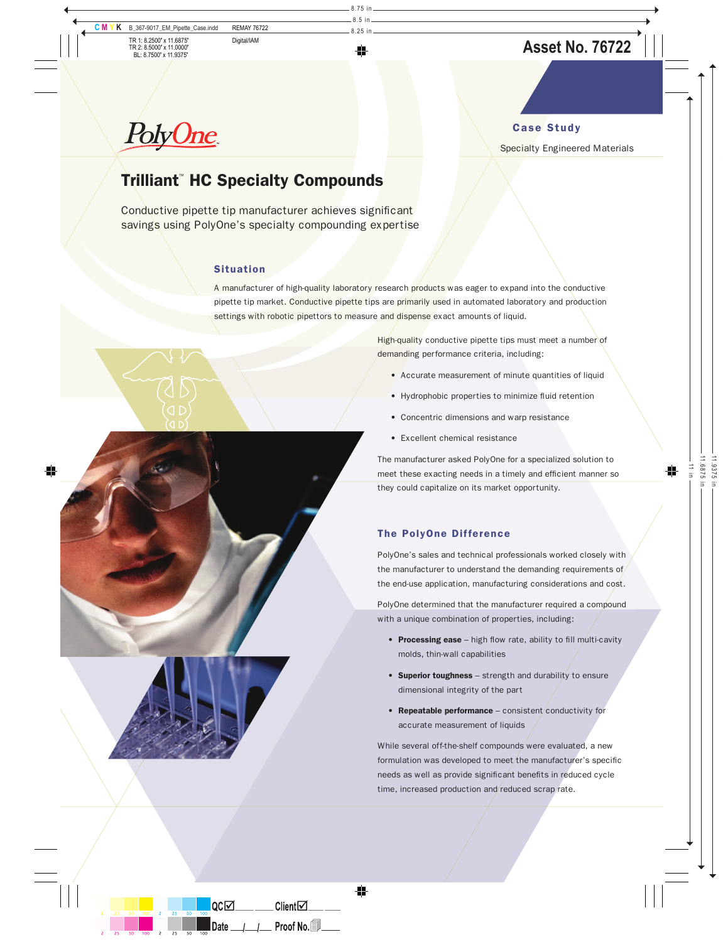# Case Study

### Specialty Engineered Materials

# **PolyOne**

# Trilliant™ HC Specialty Compounds

Conductive pipette tip manufacturer achieves significant savings using PolyOne's specialty compounding expertise

# **Situation**

A manufacturer of high-quality laboratory research products was eager to expand into the conductive pipette tip market. Conductive pipette tips are primarily used in automated laboratory and production settings with robotic pipettors to measure and dispense exact amounts of liquid.

> High-quality conductive pipette tips must meet a number of demanding performance criteria, including:

- Accurate measurement of minute quantities of liquid
- Hydrophobic properties to minimize fluid retention
- Concentric dimensions and warp resistance
- Excellent chemical resistance

The manufacturer asked PolyOne for a specialized solution to meet these exacting needs in a timely and efficient manner so they could capitalize on its market opportunity.

# The PolyOne Difference

PolyOne's sales and technical professionals worked closely with the manufacturer to understand the demanding requirements of the end-use application, manufacturing considerations and cost.

PolyOne determined that the manufacturer required a compound with a unique combination of properties, including:

- Processing ease high flow rate, ability to fill multi-cavity molds, thin-wall capabilities
- Superior toughness strength and durability to ensure dimensional integrity of the part
- Repeatable performance consistent conductivity for accurate measurement of liquids

While several off-the-shelf compounds were evaluated, a new formulation was developed to meet the manufacturer's specific needs as well as provide significant benefits in reduced cycle time, increased production and reduced scrap rate.